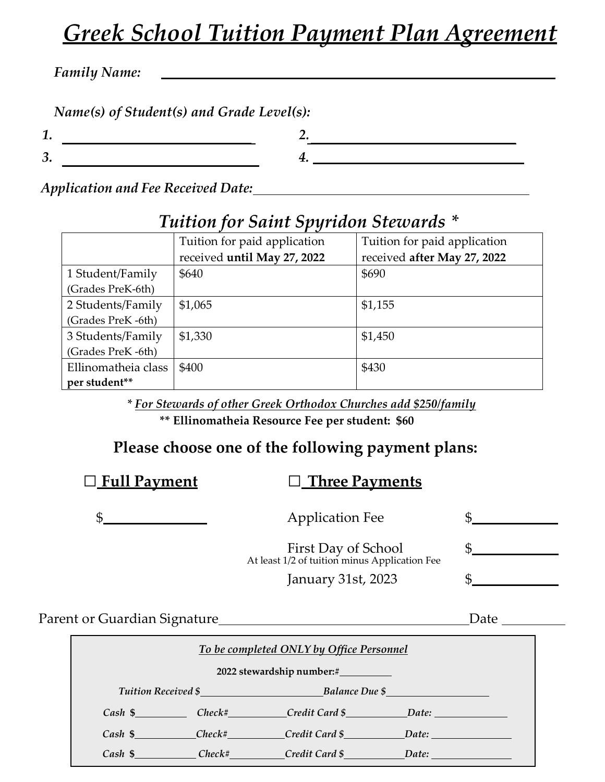# *Greek School Tuition Payment Plan Agreement*

*Family Name:*

*Name(s) of Student(s) and Grade Level(s):*

- *1. 2.*
- *3. 4.*
- -

*Application and Fee Received Date:*

### *Tuition for Saint Spyridon Stewards \**

|                     | Tuition for paid application | Tuition for paid application |  |
|---------------------|------------------------------|------------------------------|--|
|                     | received until May 27, 2022  | received after May 27, 2022  |  |
| 1 Student/Family    | \$640                        | \$690                        |  |
| (Grades PreK-6th)   |                              |                              |  |
| 2 Students/Family   | \$1,065                      | \$1,155                      |  |
| (Grades PreK -6th)  |                              |                              |  |
| 3 Students/Family   | \$1,330                      | \$1,450                      |  |
| (Grades PreK -6th)  |                              |                              |  |
| Ellinomatheia class | \$400                        | \$430                        |  |
| per student**       |                              |                              |  |

*\* For Stewards of other Greek Orthodox Churches add \$250/family*

**\*\* Ellinomatheia Resource Fee per student: \$60**

#### **Please choose one of the following payment plans:**

#### **□ Full Payment □ Three Payments**

| <b>Application Fee</b>                                                      |  |
|-----------------------------------------------------------------------------|--|
| <b>First Day of School</b><br>At least 1/2 of tuition minus Application Fee |  |
| January 31st, 2023                                                          |  |

Parent or Guardian Signature **Market School School School** Date **Date** 

| To be completed ONLY by Office Personnel |  |                                           |  |  |  |
|------------------------------------------|--|-------------------------------------------|--|--|--|
| 2022 stewardship number:#__________      |  |                                           |  |  |  |
|                                          |  | <b>Tuition Received \$</b> Balance Due \$ |  |  |  |
| Cash \$                                  |  | Check# Credit Card \$ Date:               |  |  |  |
|                                          |  | Cash \$ Check# Credit Card \$ Date:       |  |  |  |
|                                          |  | Cash \$ Check# Credit Card \$ Date:       |  |  |  |